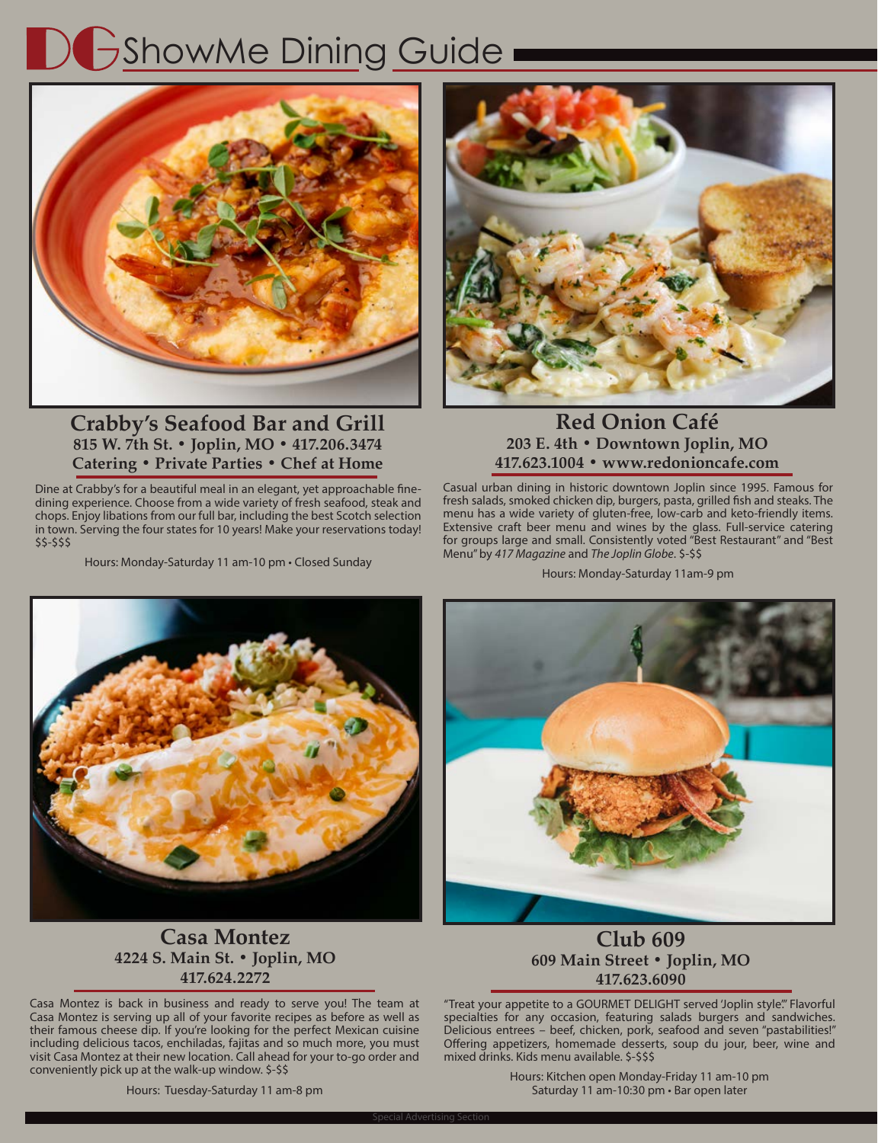## ShowMe Dining Guide



### **Crabby's Seafood Bar and Grill 815 W. 7th St. • Joplin, MO • 417.206.3474 Catering • Private Parties • Chef at Home**

Dine at Crabby's for a beautiful meal in an elegant, yet approachable finedining experience. Choose from a wide variety of fresh seafood, steak and chops. Enjoy libations from our full bar, including the best Scotch selection in town. Serving the four states for 10 years! Make your reservations today! \$\$-\$\$\$

Hours: Monday-Saturday 11 am-10 pm • Closed Sunday



## **Red Onion Café 203 E. 4th • Downtown Joplin, MO 417.623.1004 • www.redonioncafe.com**

Casual urban dining in historic downtown Joplin since 1995. Famous for fresh salads, smoked chicken dip, burgers, pasta, grilled fish and steaks. The menu has a wide variety of gluten-free, low-carb and keto-friendly items. Extensive craft beer menu and wines by the glass. Full-service catering for groups large and small. Consistently voted "Best Restaurant" and "Best Menu" by *417 Magazine* and *The Joplin Globe*. \$-\$\$

Hours: Monday-Saturday 11am-9 pm





## **Casa Montez 4224 S. Main St. • Joplin, MO 417.624.2272**

Casa Montez is back in business and ready to serve you! The team at Casa Montez is serving up all of your favorite recipes as before as well as their famous cheese dip. If you're looking for the perfect Mexican cuisine including delicious tacos, enchiladas, fajitas and so much more, you must visit Casa Montez at their new location. Call ahead for your to-go order and conveniently pick up at the walk-up window. \$-\$\$

## **Club 609 609 Main Street • Joplin, MO 417.623.6090**

"Treat your appetite to a GOURMET DELIGHT served 'Joplin style." Flavorful specialties for any occasion, featuring salads burgers and sandwiches. Delicious entrees – beef, chicken, pork, seafood and seven "pastabilities!" Offering appetizers, homemade desserts, soup du jour, beer, wine and mixed drinks. Kids menu available. \$-\$\$\$

> Hours: Kitchen open Monday-Friday 11 am-10 pm Saturday 11 am-10:30 pm • Bar open later

Hours: Tuesday-Saturday 11 am-8 pm

28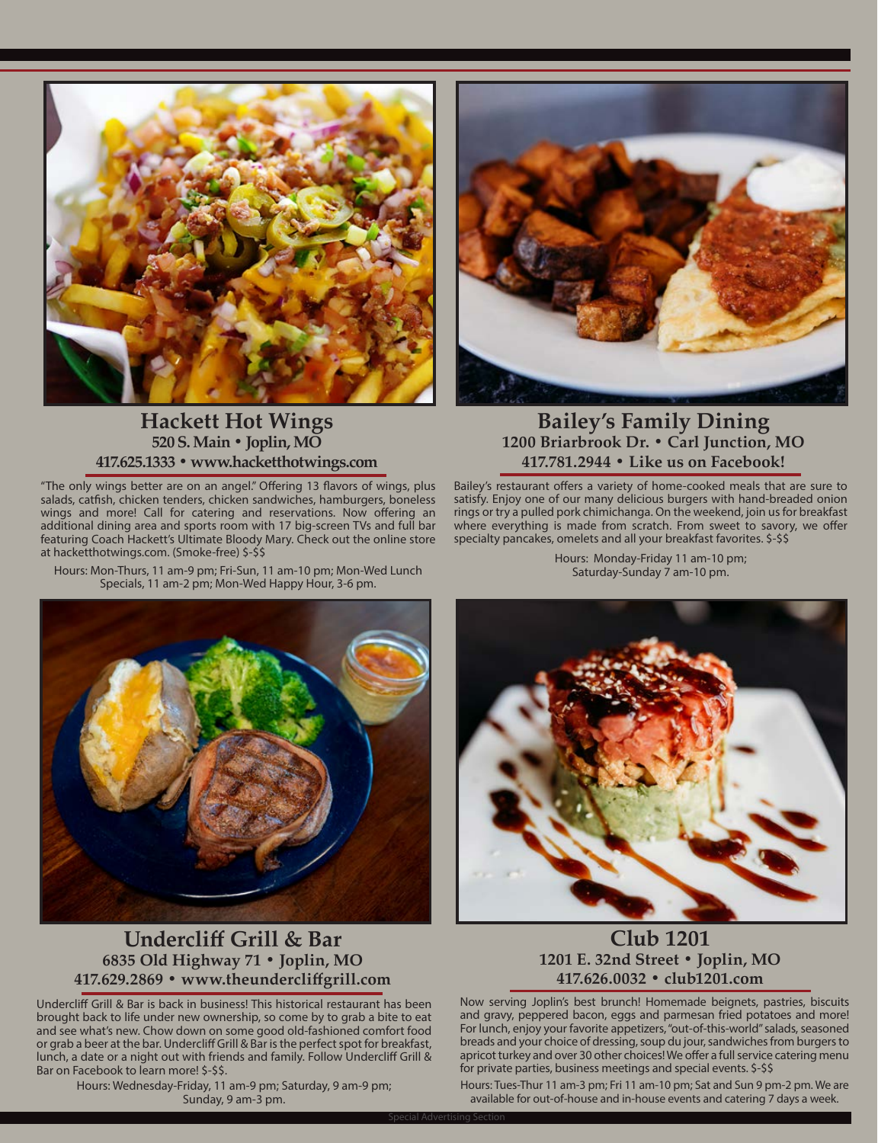

## **Hackett Hot Wings 520 S. Main • Joplin, MO 417.625.1333 • www.hacketthotwings.com**

"The only wings better are on an angel." Offering 13 flavors of wings, plus salads, catfish, chicken tenders, chicken sandwiches, hamburgers, boneless wings and more! Call for catering and reservations. Now offering an additional dining area and sports room with 17 big-screen TVs and full bar featuring Coach Hackett's Ultimate Bloody Mary. Check out the online store at hacketthotwings.com. (Smoke-free) \$-\$\$

Hours: Mon-Thurs, 11 am-9 pm; Fri-Sun, 11 am-10 pm; Mon-Wed Lunch Specials, 11 am-2 pm; Mon-Wed Happy Hour, 3-6 pm.



## **Bailey's Family Dining 1200 Briarbrook Dr. • Carl Junction, MO 417.781.2944 • Like us on Facebook!**

Bailey's restaurant offers a variety of home-cooked meals that are sure to satisfy. Enjoy one of our many delicious burgers with hand-breaded onion rings or try a pulled pork chimichanga. On the weekend, join us for breakfast where everything is made from scratch. From sweet to savory, we offer specialty pancakes, omelets and all your breakfast favorites.  $\frac{1}{5}$ - $\frac{1}{5}$ 

> Hours: Monday-Friday 11 am-10 pm; Saturday-Sunday 7 am-10 pm.



## **Undercliff Grill & Bar 6835 Old Highway 71 • Joplin, MO 417.629.2869 • www.theundercliffgrill.com**

Undercliff Grill & Bar is back in business! This historical restaurant has been brought back to life under new ownership, so come by to grab a bite to eat and see what's new. Chow down on some good old-fashioned comfort food or grab a beer at the bar. Undercliff Grill & Bar is the perfect spot for breakfast, lunch, a date or a night out with friends and family. Follow Undercliff Grill & Bar on Facebook to learn more! \$-\$\$.

Hours: Wednesday-Friday, 11 am-9 pm; Saturday, 9 am-9 pm; Sunday, 9 am-3 pm.



## **Club 1201 1201 E. 32nd Street • Joplin, MO 417.626.0032 • club1201.com**

Now serving Joplin's best brunch! Homemade beignets, pastries, biscuits and gravy, peppered bacon, eggs and parmesan fried potatoes and more! For lunch, enjoy your favorite appetizers, "out-of-this-world" salads, seasoned breads and your choice of dressing, soup du jour, sandwiches from burgers to apricot turkey and over 30 other choices! We offer a full service catering menu for private parties, business meetings and special events. \$-\$\$

June 2022 • www.showmetheozarks.com • 29 available for out-of-house and in-house events and catering 7 days a week. Hours: Tues-Thur 11 am-3 pm; Fri 11 am-10 pm; Sat and Sun 9 pm-2 pm. We are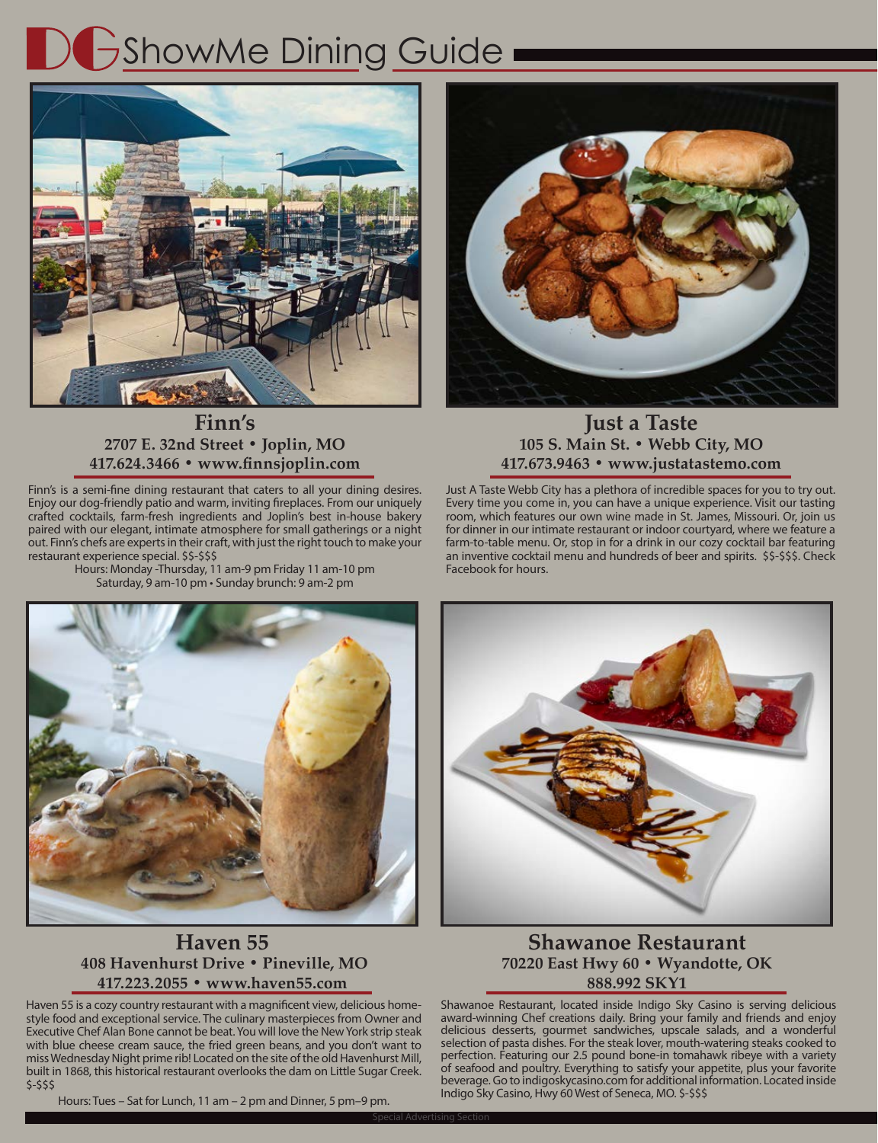# **DGShowMe Dining Guide**



## **Finn's 2707 E. 32nd Street • Joplin, MO 417.624.3466 • www.finnsjoplin.com**

Finn's is a semi-fine dining restaurant that caters to all your dining desires. Enjoy our dog-friendly patio and warm, inviting fireplaces. From our uniquely crafted cocktails, farm-fresh ingredients and Joplin's best in-house bakery paired with our elegant, intimate atmosphere for small gatherings or a night out. Finn's chefs are experts in their craft, with just the right touch to make your restaurant experience special. \$\$-\$\$\$

Hours: Monday -Thursday, 11 am-9 pm Friday 11 am-10 pm Saturday, 9 am-10 pm • Sunday brunch: 9 am-2 pm



**Just a Taste 105 S. Main St. • Webb City, MO 417.673.9463 • www.justatastemo.com**

Just A Taste Webb City has a plethora of incredible spaces for you to try out. Every time you come in, you can have a unique experience. Visit our tasting room, which features our own wine made in St. James, Missouri. Or, join us for dinner in our intimate restaurant or indoor courtyard, where we feature a farm-to-table menu. Or, stop in for a drink in our cozy cocktail bar featuring an inventive cocktail menu and hundreds of beer and spirits. \$\$-\$\$\$. Check Facebook for hours.



## **Haven 55 408 Havenhurst Drive • Pineville, MO 417.223.2055 • www.haven55.com**

Haven 55 is a cozy country restaurant with a magnificent view, delicious homestyle food and exceptional service. The culinary masterpieces from Owner and Executive Chef Alan Bone cannot be beat. You will love the New York strip steak with blue cheese cream sauce, the fried green beans, and you don't want to miss Wednesday Night prime rib! Located on the site of the old Havenhurst Mill, built in 1868, this historical restaurant overlooks the dam on Little Sugar Creek. \$-\$\$\$

Hours: Tues – Sat for Lunch, 11 am – 2 pm and Dinner, 5 pm–9 pm.

30



## **Shawanoe Restaurant 70220 East Hwy 60 • Wyandotte, OK 888.992 SKY1**

Shawanoe Restaurant, located inside Indigo Sky Casino is serving delicious award-winning Chef creations daily. Bring your family and friends and enjoy delicious desserts, gourmet sandwiches, upscale salads, and a wonderful selection of pasta dishes. For the steak lover, mouth-watering steaks cooked to perfection. Featuring our 2.5 pound bone-in tomahawk ribeye with a variety of seafood and poultry. Everything to satisfy your appetite, plus your favorite beverage. Go to indigoskycasino.com for additional information. Located inside Indigo Sky Casino, Hwy 60 West of Seneca, MO. \$-\$\$\$